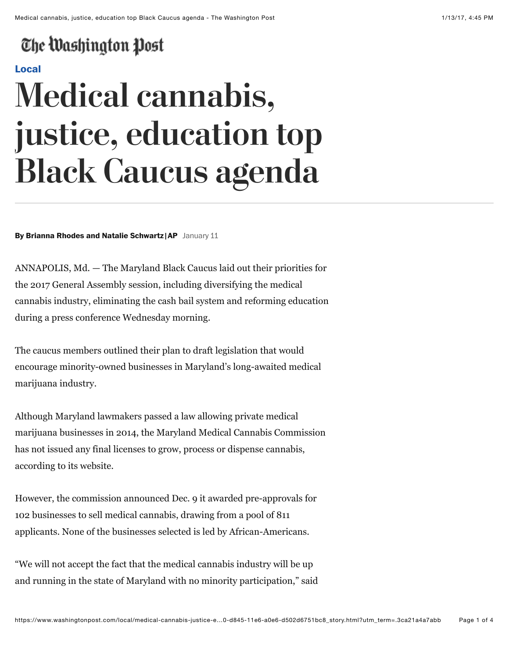## The Washington Post

#### **[Local](https://www.washingtonpost.com/local)**

# **Medical cannabis, justice, education top Black Caucus agenda**

#### **By Brianna Rhodes and Natalie Schwartz |AP** January 11

ANNAPOLIS, Md. — The Maryland Black Caucus laid out their priorities for the 2017 General Assembly session, including diversifying the medical cannabis industry, eliminating the cash bail system and reforming education during a press conference Wednesday morning.

The caucus members outlined their plan to draft legislation that would encourage minority-owned businesses in Maryland's long-awaited medical marijuana industry.

Although Maryland lawmakers passed a law allowing private medical marijuana businesses in 2014, the Maryland Medical Cannabis Commission has not issued any final licenses to grow, process or dispense cannabis, according to its website.

However, the commission announced Dec. 9 it awarded pre-approvals for 102 businesses to sell medical cannabis, drawing from a pool of 811 applicants. None of the businesses selected is led by African-Americans.

"We will not accept the fact that the medical cannabis industry will be up and running in the state of Maryland with no minority participation," said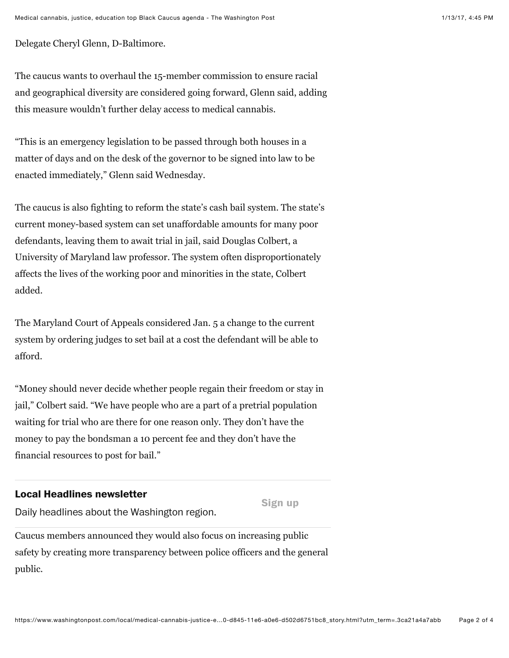Delegate Cheryl Glenn, D-Baltimore.

The caucus wants to overhaul the 15-member commission to ensure racial and geographical diversity are considered going forward, Glenn said, adding this measure wouldn't further delay access to medical cannabis.

"This is an emergency legislation to be passed through both houses in a matter of days and on the desk of the governor to be signed into law to be enacted immediately," Glenn said Wednesday.

The caucus is also fighting to reform the state's cash bail system. The state's current money-based system can set unaffordable amounts for many poor defendants, leaving them to await trial in jail, said Douglas Colbert, a University of Maryland law professor. The system often disproportionately affects the lives of the working poor and minorities in the state, Colbert added.

The Maryland Court of Appeals considered Jan. 5 a change to the current system by ordering judges to set bail at a cost the defendant will be able to afford.

"Money should never decide whether people regain their freedom or stay in jail," Colbert said. "We have people who are a part of a pretrial population waiting for trial who are there for one reason only. They don't have the money to pay the bondsman a 10 percent fee and they don't have the financial resources to post for bail."

#### **Local Headlines newsletter**

**Sign up**

Daily headlines about the Washington region.

Caucus members announced they would also focus on increasing public safety by creating more transparency between police officers and the general public.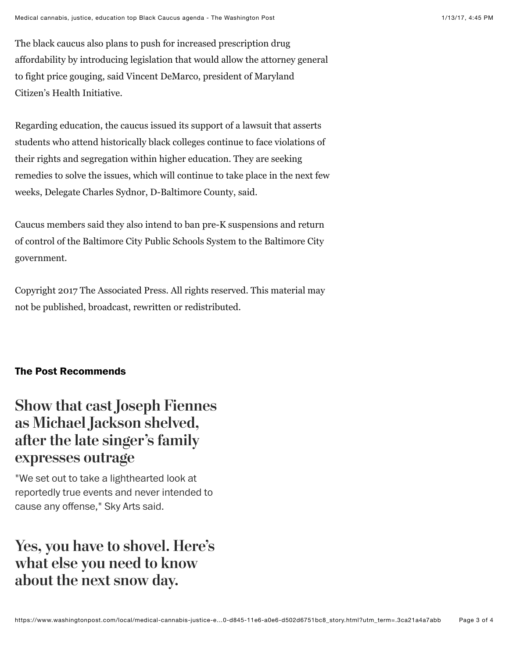The black caucus also plans to push for increased prescription drug affordability by introducing legislation that would allow the attorney general to fight price gouging, said Vincent DeMarco, president of Maryland Citizen's Health Initiative.

Regarding education, the caucus issued its support of a lawsuit that asserts students who attend historically black colleges continue to face violations of their rights and segregation within higher education. They are seeking remedies to solve the issues, which will continue to take place in the next few weeks, Delegate Charles Sydnor, D-Baltimore County, said.

Caucus members said they also intend to ban pre-K suspensions and return of control of the Baltimore City Public Schools System to the Baltimore City government.

Copyright 2017 The Associated Press. All rights reserved. This material may not be published, broadcast, rewritten or redistributed.

#### **The Post Recommends**

### **[Show that cast Joseph Fiennes](https://www.washingtonpost.com/news/arts-and-entertainment/wp/2017/01/13/show-that-cast-joseph-fiennes-as-michael-jackson-shelved-after-the-late-singers-family-expresses-outrage/?tid=hybrid_collaborative_1_na) as Michael Jackson shelved, afer the late singer's family expresses outrage**

"We set out to take a lighthearted look at reportedly true events and never intended to cause any offense," Sky Arts said.

## **[Yes, you have to shovel. Here's](https://www.washingtonpost.com/express/wp/2017/01/13/yes-you-have-to-shovel-heres-what-else-you-need-to-know-about-the-next-snow-day/?tid=hybrid_collaborative_2_na) what else you need to know about the next snow day.**